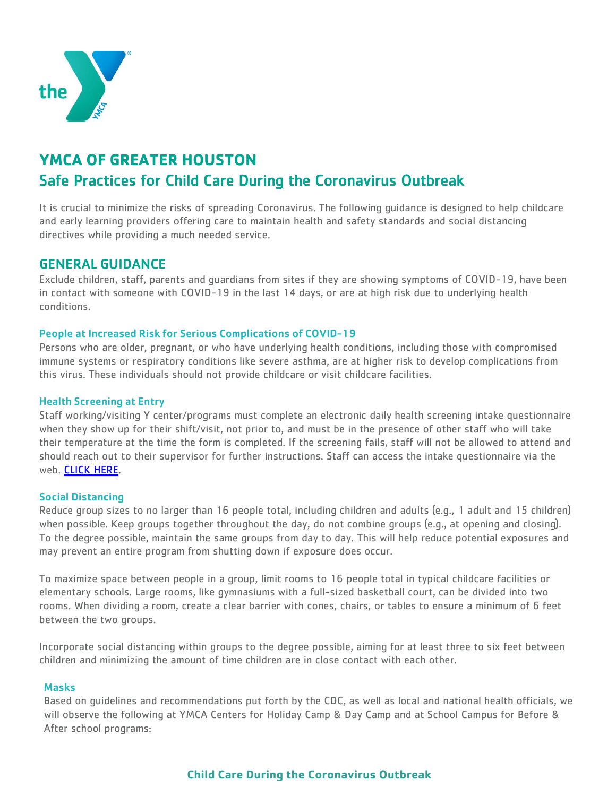

# **YMCA OF GREATER HOUSTON**  Safe Practices for Child Care During the Coronavirus Outbreak

It is crucial to minimize the risks of spreading Coronavirus. The following guidance is designed to help childcare and early learning providers offering care to maintain health and safety standards and social distancing directives while providing a much needed service.

# GENERAL GUIDANCE

Exclude children, staff, parents and guardians from sites if they are showing symptoms of COVID-19, have been in contact with someone with COVID-19 in the last 14 days, or are at high risk due to underlying health conditions.

## People at Increased Risk for Serious Complications of COVID-19

Persons who are older, pregnant, or who have underlying health conditions, including those with compromised immune systems or respiratory conditions like severe asthma, are at higher risk to develop complications from this virus. These individuals should not provide childcare or visit childcare facilities.

## Health Screening at Entry

Staff working/visiting Y center/programs must complete an electronic daily health screening intake questionnaire when they show up for their shift/visit, not prior to, and must be in the presence of other staff who will take their temperature at the time the form is completed. If the screening fails, staff will not be allowed to attend and should reach out to their supervisor for further instructions. Staff can access the intake questionnaire via the web. [CLICK HERE.](https://s-us.chkmkt.com/?e=201208&h=380DEF9BE3B171E&l=en)

## Social Distancing

Reduce group sizes to no larger than 16 people total, including children and adults (e.g., 1 adult and 15 children) when possible. Keep groups together throughout the day, do not combine groups (e.g., at opening and closing). To the degree possible, maintain the same groups from day to day. This will help reduce potential exposures and may prevent an entire program from shutting down if exposure does occur.

To maximize space between people in a group, limit rooms to 16 people total in typical childcare facilities or elementary schools. Large rooms, like gymnasiums with a full-sized basketball court, can be divided into two rooms. When dividing a room, create a clear barrier with cones, chairs, or tables to ensure a minimum of 6 feet between the two groups.

Incorporate social distancing within groups to the degree possible, aiming for at least three to six feet between children and minimizing the amount of time children are in close contact with each other.

#### Masks

Based on guidelines and recommendations put forth by the CDC, as well as local and national health officials, we will observe the following at YMCA Centers for Holiday Camp & Day Camp and at School Campus for Before & After school programs: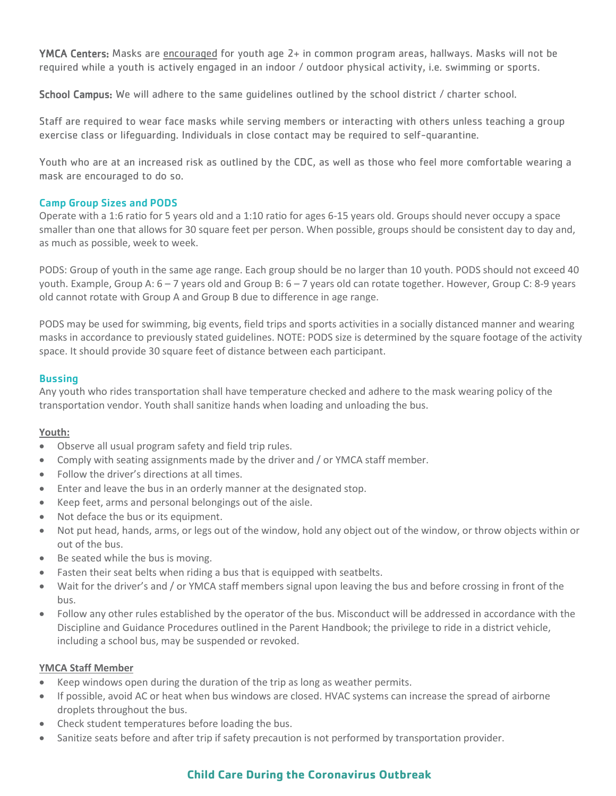YMCA Centers: Masks are encouraged for youth age 2+ in common program areas, hallways. Masks will not be required while a youth is actively engaged in an indoor / outdoor physical activity, i.e. swimming or sports.

School Campus: We will adhere to the same guidelines outlined by the school district / charter school.

Staff are required to wear face masks while serving members or interacting with others unless teaching a group exercise class or lifeguarding. Individuals in close contact may be required to self-quarantine.

Youth who are at an increased risk as outlined by the CDC, as well as those who feel more comfortable wearing a mask are encouraged to do so.

## Camp Group Sizes and PODS

Operate with a 1:6 ratio for 5 years old and a 1:10 ratio for ages 6-15 years old. Groups should never occupy a space smaller than one that allows for 30 square feet per person. When possible, groups should be consistent day to day and, as much as possible, week to week.

PODS: Group of youth in the same age range. Each group should be no larger than 10 youth. PODS should not exceed 40 youth. Example, Group A: 6 – 7 years old and Group B: 6 – 7 years old can rotate together. However, Group C: 8-9 years old cannot rotate with Group A and Group B due to difference in age range.

PODS may be used for swimming, big events, field trips and sports activities in a socially distanced manner and wearing masks in accordance to previously stated guidelines. NOTE: PODS size is determined by the square footage of the activity space. It should provide 30 square feet of distance between each participant.

## **Bussing**

Any youth who rides transportation shall have temperature checked and adhere to the mask wearing policy of the transportation vendor. Youth shall sanitize hands when loading and unloading the bus.

#### **Youth:**

- Observe all usual program safety and field trip rules.
- Comply with seating assignments made by the driver and / or YMCA staff member.
- Follow the driver's directions at all times.
- Enter and leave the bus in an orderly manner at the designated stop.
- Keep feet, arms and personal belongings out of the aisle.
- Not deface the bus or its equipment.
- Not put head, hands, arms, or legs out of the window, hold any object out of the window, or throw objects within or out of the bus.
- Be seated while the bus is moving.
- Fasten their seat belts when riding a bus that is equipped with seatbelts.
- Wait for the driver's and / or YMCA staff members signal upon leaving the bus and before crossing in front of the bus.
- Follow any other rules established by the operator of the bus. Misconduct will be addressed in accordance with the Discipline and Guidance Procedures outlined in the Parent Handbook; the privilege to ride in a district vehicle, including a school bus, may be suspended or revoked.

## **YMCA Staff Member**

- Keep windows open during the duration of the trip as long as weather permits.
- If possible, avoid AC or heat when bus windows are closed. HVAC systems can increase the spread of airborne droplets throughout the bus.
- Check student temperatures before loading the bus.
- Sanitize seats before and after trip if safety precaution is not performed by transportation provider.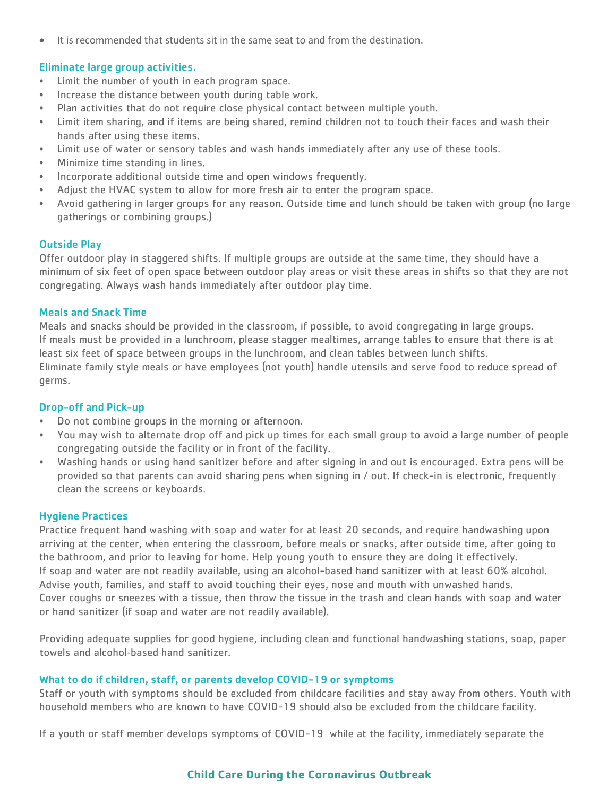It is recommended that students sit in the same seat to and from the destination.

## Eliminate large group activities.

- Limit the number of youth in each program space.
- Increase the distance between youth during table work.
- Plan activities that do not require close physical contact between multiple youth.
- Limit item sharing, and if items are being shared, remind children not to touch their faces and wash their hands after using these items.
- Limit use of water or sensory tables and wash hands immediately after any use of these tools.
- Minimize time standing in lines.
- Incorporate additional outside time and open windows frequently.
- Adjust the HVAC system to allow for more fresh air to enter the program space.
- Avoid gathering in larger groups for any reason. Outside time and lunch should be taken with group (no large gatherings or combining groups.)

## Outside Play

Offer outdoor play in staggered shifts. If multiple groups are outside at the same time, they should have a minimum of six feet of open space between outdoor play areas or visit these areas in shifts so that they are not congregating. Always wash hands immediately after outdoor play time.

## Meals and Snack Time

Meals and snacks should be provided in the classroom, if possible, to avoid congregating in large groups. If meals must be provided in a lunchroom, please stagger mealtimes, arrange tables to ensure that there is at least six feet of space between groups in the lunchroom, and clean tables between lunch shifts. Eliminate family style meals or have employees (not youth) handle utensils and serve food to reduce spread of germs.

# Drop-off and Pick-up

- Do not combine groups in the morning or afternoon.
- You may wish to alternate drop off and pick up times for each small group to avoid a large number of people congregating outside the facility or in front of the facility.
- Washing hands or using hand sanitizer before and after signing in and out is encouraged. Extra pens will be provided so that parents can avoid sharing pens when signing in / out. If check-in is electronic, frequently clean the screens or keyboards.

# Hygiene Practices

Practice frequent hand washing with soap and water for at least 20 seconds, and require handwashing upon arriving at the center, when entering the classroom, before meals or snacks, after outside time, after going to the bathroom, and prior to leaving for home. Help young youth to ensure they are doing it effectively. If soap and water are not readily available, using an alcohol-based hand sanitizer with at least 60% alcohol. Advise youth, families, and staff to avoid touching their eyes, nose and mouth with unwashed hands. Cover coughs or sneezes with a tissue, then throw the tissue in the trash and clean hands with soap and water or hand sanitizer (if soap and water are not readily available).

Providing adequate supplies for good hygiene, including clean and functional handwashing stations, soap, paper towels and alcohol‐based hand sanitizer.

## What to do if children, staff, or parents develop COVID-19 or symptoms

Staff or youth with symptoms should be excluded from childcare facilities and stay away from others. Youth with household members who are known to have COVID-19 should also be excluded from the childcare facility.

If a youth or staff member develops symptoms of COVID-19 while at the facility, immediately separate the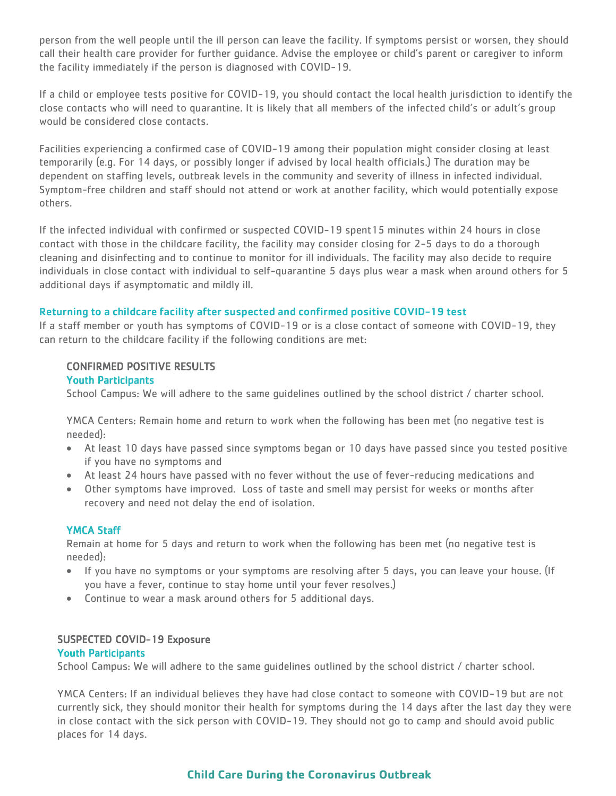person from the well people until the ill person can leave the facility. If symptoms persist or worsen, they should call their health care provider for further guidance. Advise the employee or child's parent or caregiver to inform the facility immediately if the person is diagnosed with COVID-19.

If a child or employee tests positive for COVID-19, you should contact the local health jurisdiction to identify the close contacts who will need to quarantine. It is likely that all members of the infected child's or adult's group would be considered close contacts.

Facilities experiencing a confirmed case of COVID-19 among their population might consider closing at least temporarily (e.g. For 14 days, or possibly longer if advised by local health officials.) The duration may be dependent on staffing levels, outbreak levels in the community and severity of illness in infected individual. Symptom-free children and staff should not attend or work at another facility, which would potentially expose others.

If the infected individual with confirmed or suspected COVID-19 spent15 minutes within 24 hours in close contact with those in the childcare facility, the facility may consider closing for 2-5 days to do a thorough cleaning and disinfecting and to continue to monitor for ill individuals. The facility may also decide to require individuals in close contact with individual to self-quarantine 5 days plus wear a mask when around others for 5 additional days if asymptomatic and mildly ill.

#### Returning to a childcare facility after suspected and confirmed positive COVID-19 test

If a staff member or youth has symptoms of COVID-19 or is a close contact of someone with COVID-19, they can return to the childcare facility if the following conditions are met:

#### CONFIRMED POSITIVE RESULTS

#### Youth Participants

School Campus: We will adhere to the same guidelines outlined by the school district / charter school.

YMCA Centers: Remain home and return to work when the following has been met (no negative test is needed):

- At least 10 days have passed since symptoms began or 10 days have passed since you tested positive if you have no symptoms and
- At least 24 hours have passed with no fever without the use of fever-reducing medications and
- Other symptoms have improved. Loss of taste and smell may persist for weeks or months after recovery and need not delay the end of isolation.

#### YMCA Staff

Remain at home for 5 days and return to work when the following has been met (no negative test is needed):

- If you have no symptoms or your symptoms are resolving after 5 days, you can leave your house. (If you have a fever, continue to stay home until your fever resolves.)
- Continue to wear a mask around others for 5 additional days.

## SUSPECTED COVID-19 Exposure

#### Youth Participants

School Campus: We will adhere to the same guidelines outlined by the school district / charter school.

YMCA Centers: If an individual believes they have had close contact to someone with COVID-19 but are not currently sick, they should monitor their health for symptoms during the 14 days after the last day they were in close contact with the sick person with COVID-19. They should not go to camp and should avoid public places for 14 days.